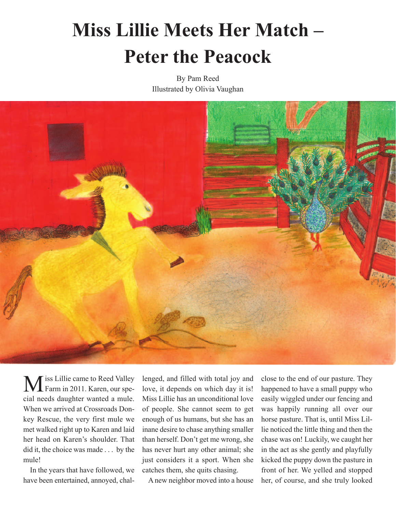## **Miss Lillie Meets Her Match – Peter the Peacock**<br>By Pam Reed

Illustrated by Olivia Vaughan



Iss Lillie came to Reed Valley Farm in 2011. Karen, our special needs daughter wanted a mule. When we arrived at Crossroads Donkey Rescue, the very first mule we met walked right up to Karen and laid her head on Karen's shoulder. That did it, the choice was made . . . by the mule! M

 In the years that have followed, we have been entertained, annoyed, challenged, and filled with total joy and love, it depends on which day it is! Miss Lillie has an unconditional love of people. She cannot seem to get enough of us humans, but she has an inane desire to chase anything smaller than herself. Don't get me wrong, she has never hurt any other animal; she just considers it a sport. When she catches them, she quits chasing.

A new neighbor moved into a house

close to the end of our pasture. They happened to have a small puppy who easily wiggled under our fencing and was happily running all over our horse pasture. That is, until Miss Lillie noticed the little thing and then the chase was on! Luckily, we caught her in the act as she gently and playfully kicked the puppy down the pasture in front of her. We yelled and stopped her, of course, and she truly looked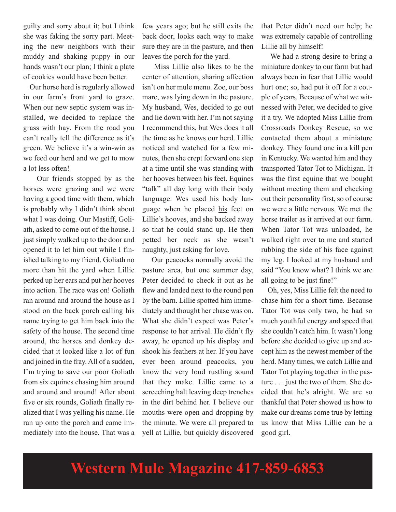guilty and sorry about it; but I think she was faking the sorry part. Meeting the new neighbors with their muddy and shaking puppy in our hands wasn't our plan; I think a plate of cookies would have been better.

 Our horse herd is regularly allowed in our farm's front yard to graze. When our new septic system was installed, we decided to replace the grass with hay. From the road you can't really tell the difference as it's green. We believe it's a win-win as we feed our herd and we get to mow a lot less often!

 Our friends stopped by as the horses were grazing and we were having a good time with them, which is probably why I didn't think about what I was doing. Our Mastiff, Goliath, asked to come out of the house. I just simply walked up to the door and opened it to let him out while I finished talking to my friend. Goliath no more than hit the yard when Lillie perked up her ears and put her hooves into action. The race was on! Goliath ran around and around the house as I stood on the back porch calling his name trying to get him back into the safety of the house. The second time around, the horses and donkey decided that it looked like a lot of fun and joined in the fray. All of a sudden, I'm trying to save our poor Goliath from six equines chasing him around and around and around! After about five or six rounds, Goliath finally realized that I was yelling his name. He ran up onto the porch and came immediately into the house. That was a

few years ago; but he still exits the back door, looks each way to make sure they are in the pasture, and then leaves the porch for the yard.

 Miss Lillie also likes to be the center of attention, sharing affection isn't on her mule menu. Zoe, our boss mare, was lying down in the pasture. My husband, Wes, decided to go out and lie down with her. I'm not saying I recommend this, but Wes does it all the time as he knows our herd. Lillie noticed and watched for a few minutes, then she crept forward one step at a time until she was standing with her hooves between his feet. Equines "talk" all day long with their body language. Wes used his body language when he placed his feet on Lillie's hooves, and she backed away so that he could stand up. He then petted her neck as she wasn't naughty, just asking for love.

 Our peacocks normally avoid the pasture area, but one summer day, Peter decided to check it out as he flew and landed next to the round pen by the barn. Lillie spotted him immediately and thought her chase was on. What she didn't expect was Peter's response to her arrival. He didn't fly away, he opened up his display and shook his feathers at her. If you have ever been around peacocks, you know the very loud rustling sound that they make. Lillie came to a screeching halt leaving deep trenches in the dirt behind her. I believe our mouths were open and dropping by the minute. We were all prepared to yell at Lillie, but quickly discovered that Peter didn't need our help; he was extremely capable of controlling Lillie all by himself!

 We had a strong desire to bring a miniature donkey to our farm but had always been in fear that Lillie would hurt one; so, had put it off for a couple of years. Because of what we witnessed with Peter, we decided to give it a try. We adopted Miss Lillie from Crossroads Donkey Rescue, so we contacted them about a miniature donkey. They found one in a kill pen in Kentucky. We wanted him and they transported Tator Tot to Michigan. It was the first equine that we bought without meeting them and checking out their personality first, so of course we were a little nervous. We met the horse trailer as it arrived at our farm. When Tator Tot was unloaded, he walked right over to me and started rubbing the side of his face against my leg. I looked at my husband and said "You know what? I think we are all going to be just fine!"

 Oh, yes, Miss Lillie felt the need to chase him for a short time. Because Tator Tot was only two, he had so much youthful energy and speed that she couldn't catch him. It wasn't long before she decided to give up and accept him as the newest member of the herd. Many times, we catch Lillie and Tator Tot playing together in the pasture . . . just the two of them. She decided that he's alright. We are so thankful that Peter showed us how to make our dreams come true by letting us know that Miss Lillie can be a good girl.

**Western Mule Magazine 417-859-6853**